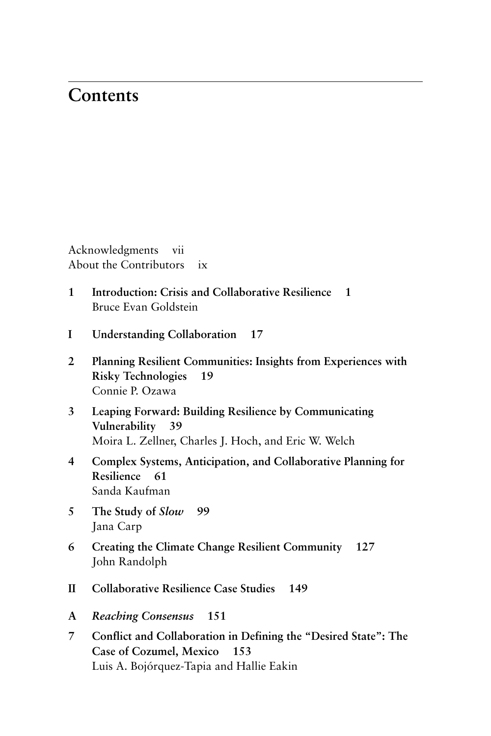## **Contents**

Acknowledgments vii About the Contributors ix

- **1 Introduction: Crisis and Collaborative Resilience 1** Bruce Evan Goldstein
- **I Understanding Collaboration 17**
- **2 Planning Resilient Communities: Insights from Experiences with Risky Technologies 19** Connie P. Ozawa
- **3 Leaping Forward: Building Resilience by Communicating Vulnerability 39** Moira L. Zellner, Charles J. Hoch, and Eric W. Welch
- **4 Complex Systems, Anticipation, and Collaborative Planning for Resilience 61** Sanda Kaufman
- **5 The Study of** *Slow* **99** Jana Carp
- **6 Creating the Climate Change Resilient Community 127** John Randolph
- **II Collaborative Resilience Case Studies 149**
- **A** *Reaching Consensus* **151**
- **7 Conflict and Collaboration in Defining the "Desired State": The Case of Cozumel, Mexico 153** Luis A. Bojórquez- Tapia and Hallie Eakin